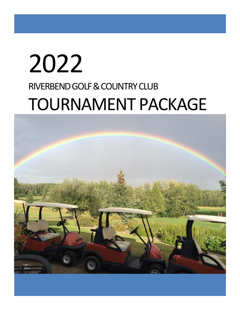# 2022 RIVERBEND GOLF & COUNTRY CLUB TOURNAMENT PACKAGE

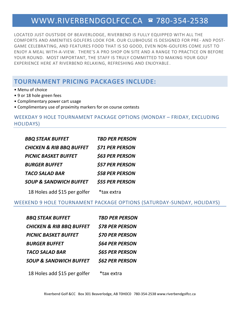### [WWW.RIVERBENDGOLFCC.CA](http://www.riverbendgolfcc.ca/) @ 780-354-2538

LOCATED JUST OUSTSIDE OF BEAVERLODGE, RIVERBEND IS FULLY EQUIPPED WITH ALL THE COMFORTS AND AMENITIES GOLFERS LOOK FOR. OUR CLUBHOUSE IS DESIGNED FOR PRE - AND POST-GAME CELEBRATING, AND FEATURES FOOD THAT IS SO GOOD, EVEN NON-GOLFERS COME JUST TO ENJOY A MEAL WITH-A-VIEW. THERE'S A PRO SHOP ON SITE AND A RANGE TO PRACTICE ON BEFORE YOUR ROUND. MOST IMPORTANT, THE STAFF IS TRULY COMMITTED TO MAKING YOUR GOLF EXPERIENCE HERE AT RIVERBEND RELAXING, REFRESHING AND ENJOYABLE .

### **TOURNAMENT PRICING PACKAGES INCLUDE:**

- Menu of choice
- 9 or 18 hole green fees
- Complimentary power cart usage
- Complimentary use of proximity markers for on course contests

### WEEKDAY 9 HOLE TOURNAMENT PACKAGE OPTIONS (MONDAY – FRIDAY, EXCLUDING HOLIDAYS)

| <b>BBQ STEAK BUFFET</b>             | <b>TBD PER PERSON</b>  |
|-------------------------------------|------------------------|
| <b>CHICKEN &amp; RIB BBQ BUFFET</b> | <b>\$71 PER PERSON</b> |
| <b>PICNIC BASKET BUFFET</b>         | <b>\$63 PER PERSON</b> |
| <b>BURGER BUFFET</b>                | <b>\$57 PER PERSON</b> |
| <b>TACO SALAD BAR</b>               | <b>\$58 PER PERSON</b> |
| <b>SOUP &amp; SANDWICH BUFFET</b>   | <b>\$55 PER PERSON</b> |
| 18 Holes add \$15 per golfer        | *tax extra             |

### WEEKEND 9 HOLE TOURNAMENT PACKAGE OPTIONS (SATURDAY-SUNDAY, HOLIDAYS)

| <b>TBD PER PERSON</b>  |
|------------------------|
| <b>\$78 PER PERSON</b> |
| <b>\$70 PER PERSON</b> |
| <b>\$64 PER PERSON</b> |
| <b>\$65 PER PERSON</b> |
| <b>\$62 PER PERSON</b> |
|                        |

18 Holes add \$15 per golfer \*tax extra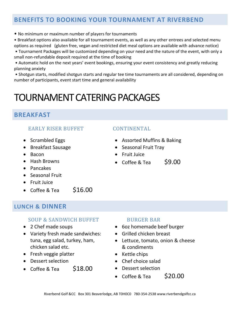### **BENEFITS TO BOOKING YOUR TOURNAMENT AT RIVERBEND**

• No minimum or maximum number of players for tournaments

• Breakfast options also available for all tournament events, as well as any other entrees and selected menu

- options as required (gluten free, vegan and restricted diet meal options are available with advance notice) • Tournament Packages will be customized depending on your need and the nature of the event, with only a small non-refundable deposit required at the time of booking
- Automatic hold on the next years' event bookings, ensuring your event consistency and greatly reducing planning anxiety

• Shotgun starts, modified shotgun starts and regular tee time tournaments are all considered, depending on number of participants, event start time and general availability

## TOURNAMENT CATERING PACKAGES

### **BREAKFAST**

### EARLY RISER BUFFET CONTINENTAL

- Scrambled Eggs
- Breakfast Sausage
- Bacon
- Hash Browns
- Pancakes
- Seasonal Fruit
- Fruit Juice
- Coffee & Tea  $$16.00$

### **LUNCH & DINNER**

### SOUP & SANDWICH BUFFET BURGER BAR

- 2 Chef made soups
- Variety fresh made sandwiches: tuna, egg salad, turkey, ham, chicken salad etc.
- Fresh veggie platter
- Dessert selection
- Coffee & Tea  $$18.00$

- Assorted Muffins & Baking
- Seasonal Fruit Tray
- Fruit Juice
- Coffee & Tea  $\sim$  \$9.00

- 
- 6oz homemade beef burger
- Grilled chicken breast
- Lettuce, tomato, onion & cheese & condiments
- Kettle chips
- Chef choice salad
- Dessert selection
- Coffee & Tea  $$20.00$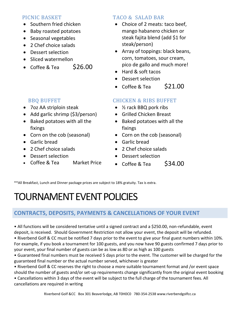- Southern fried chicken
- Baby roasted potatoes
- Seasonal vegetables
- 2 Chef choice salads
- Dessert selection
- Sliced watermellon
- Coffee & Tea  $$26.00$

- 7oz AA striploin steak
- Add garlic shrimp (\$3/person)
- Baked potatoes with all the fixings
- Corn on the cob (seasonal)
- Garlic bread
- 2 Chef choice salads
- Dessert selection
- Coffee & Tea Market Price

### PICNIC BASKET TACO & SALAD BAR

- Choice of 2 meats: taco beef, mango habanero chicken or steak fajita blend (add \$1 for steak/person)
- Array of toppings: black beans, corn, tomatoes, sour cream, pico de gallo and much more!
- Hard & soft tacos
- Dessert selection
- Coffee & Tea  $$21.00$

### BBQ BUFFET CHICKEN & RIBS BUFFET

- 1/<sub>2</sub> rack BBQ pork ribs
- Grilled Chicken Breast
- Baked potatoes with all the fixings
- Corn on the cob (seasonal)
- Garlic bread
- 2 Chef choice salads
- Dessert selection
- Coffee & Tea  $$34.00$

\*\*All Breakfast, Lunch and Dinner package prices are subject to 18% gratuity. Tax is extra.

# TOURNAMENT EVENT POLICIES

### **CONTRACTS, DEPOSITS, PAYMENTS & CANCELLATIONS OF YOUR EVENT**

• All functions will be considered tentative until a signed contract and a \$250.00, non-refundable, event deposit, is received. Should Government Restriction not allow your event, the deposit will be refunded.

• Riverbend Golf & CC must be notified 7 days prior to the event to give your final guest numbers within 10%. For example, if you book a tournament for 100 guests, and you now have 90 guests confirmed 7 days prior to your event, your final number of guests can be as low as 80 or as high as 100 guests

• Guaranteed final numbers must be received 5 days prior to the event. The customer will be charged for the guaranteed final number or the actual number served, whichever is greater

• Riverbend Golf & CC reserves the right to choose a more suitable tournament format and /or event space should the number of guests and/or set-up requirements change significantly from the original event booking

• Cancellations within 3 days of the event will be subject to the full charge of the tournament fees. All cancellations are required in writing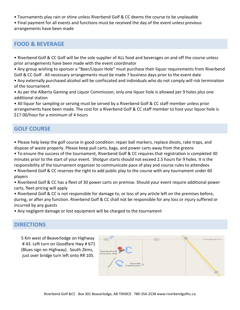- Tournaments play rain or shine unless Riverbend Golf & CC deems the course to be unplayable
- Final payment for all events and functions must be received the day of the event unless previous arrangements have been made

### **FOOD & BEVERAGE**

- Riverbend Golf & CC Golf will be the sole supplier of ALL food and beverages on and off the course unless prior arrangements have been made with the event coordinator
- Any group wishing to sponsor a "Beer/Liquor Hole" must purchase their liquor requirements from Riverbend Golf & CC Golf . All necessary arrangements must be made 7 business days prior to the event date
- Any externally purchased alcohol will be confiscated and individuals who do not comply will risk termination of the tournament
- As per the Alberta Gaming and Liquor Commission, only one liquor hole is allowed per 9 holes plus one additional station
- All liquor for sampling or serving must be served by a Riverbend Golf & CC staff member unless prior arrangements have been made. The cost for a Riverbend Golf & CC staff member to host your liquor hole is \$17.00/hour for a minimum of 4 hours

### **GOLF COURSE**

- Please help keep the golf course in good condition: repair ball markers, replace divots, rake traps, and dispose of waste properly. Please keep pull carts, bags, and power carts away from the greens
- To ensure the success of the tournament, Riverbend Golf & CC requires that registration is completed 30 minutes prior to the start of your event. Shotgun starts should not exceed 2.5 hours for 9 holes. It is the responsibility of the tournament organizer to communicate pace of play and course rules to attendees
- Riverbend Golf & CC reserves the right to add public play to the course with any tournament under 60 players
- Riverbend Golf & CC has a fleet of 30 power carts on premise. Should your event require additional power carts, fleet pricing will apply
- Riverbend Golf & CC is not responsible for damage to, or loss of any article left on the premises before, during, or after any function. Riverbend Golf & CC shall not be responsible for any loss or injury suffered or incurred by any guests
- Any negligent damage or lost equipment will be charged to the tournament

### **DIRECTIONS**

5 Km west of Beaverlodge on Highway # 43. Left turn on Goodfare Hwy # 671 (Blues sign on Highway). South 2kms, just over bridge turn left onto RR 105.